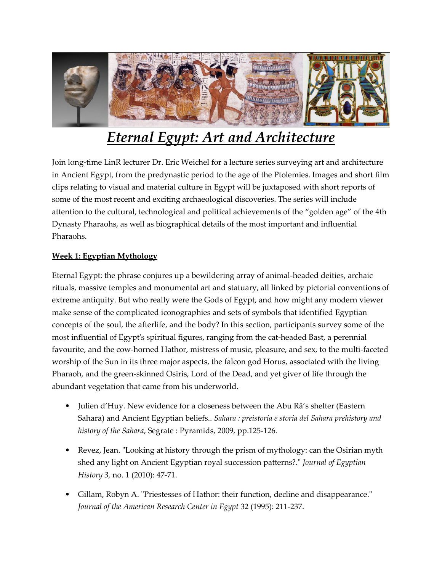

# *Eternal Egypt: Art and Architecture*

Join long-time LinR lecturer Dr. Eric Weichel for a lecture series surveying art and architecture in Ancient Egypt, from the predynastic period to the age of the Ptolemies. Images and short film clips relating to visual and material culture in Egypt will be juxtaposed with short reports of some of the most recent and exciting archaeological discoveries. The series will include attention to the cultural, technological and political achievements of the "golden age" of the 4th Dynasty Pharaohs, as well as biographical details of the most important and influential Pharaohs.

## **Week 1: Egyptian Mythology**

Eternal Egypt: the phrase conjures up a bewildering array of animal-headed deities, archaic rituals, massive temples and monumental art and statuary, all linked by pictorial conventions of extreme antiquity. But who really were the Gods of Egypt, and how might any modern viewer make sense of the complicated iconographies and sets of symbols that identified Egyptian concepts of the soul, the afterlife, and the body? In this section, participants survey some of the most influential of Egypt's spiritual figures, ranging from the cat-headed Bast, a perennial favourite, and the cow-horned Hathor, mistress of music, pleasure, and sex, to the multi-faceted worship of the Sun in its three major aspects, the falcon god Horus, associated with the living Pharaoh, and the green-skinned Osiris, Lord of the Dead, and yet giver of life through the abundant vegetation that came from his underworld.

- Julien d'Huy. New evidence for a closeness between the Abu Râ's shelter (Eastern Sahara) and Ancient Egyptian beliefs.. *Sahara : preistoria e storia del Sahara prehistory and history of the Sahara*, Segrate : Pyramids, 2009, pp.125-126.
- Revez, Jean. "Looking at history through the prism of mythology: can the Osirian myth shed any light on Ancient Egyptian royal succession patterns?." *Journal of Egyptian History 3,* no. 1 (2010): 47-71.
- Gillam, Robyn A. "Priestesses of Hathor: their function, decline and disappearance." *Journal of the American Research Center in Egypt* 32 (1995): 211-237.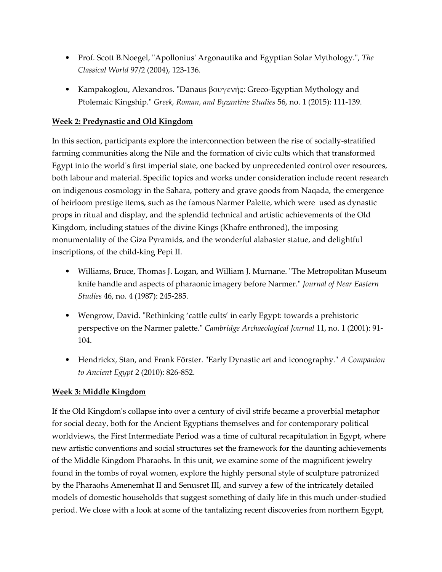- Prof. Scott B.Noegel, "Apollonius' Argonautika and Egyptian Solar Mythology.", *The Classical World* 97/2 (2004), 123-136.
- Kampakoglou, Alexandros. "Danaus βουγενής: Greco-Egyptian Mythology and Ptolemaic Kingship." *Greek, Roman, and Byzantine Studies* 56, no. 1 (2015): 111-139.

#### **Week 2: Predynastic and Old Kingdom**

In this section, participants explore the interconnection between the rise of socially-stratified farming communities along the Nile and the formation of civic cults which that transformed Egypt into the world's first imperial state, one backed by unprecedented control over resources, both labour and material. Specific topics and works under consideration include recent research on indigenous cosmology in the Sahara, pottery and grave goods from Naqada, the emergence of heirloom prestige items, such as the famous Narmer Palette, which were used as dynastic props in ritual and display, and the splendid technical and artistic achievements of the Old Kingdom, including statues of the divine Kings (Khafre enthroned), the imposing monumentality of the Giza Pyramids, and the wonderful alabaster statue, and delightful inscriptions, of the child-king Pepi II.

- Williams, Bruce, Thomas J. Logan, and William J. Murnane. "The Metropolitan Museum knife handle and aspects of pharaonic imagery before Narmer." *Journal of Near Eastern Studies* 46, no. 4 (1987): 245-285.
- Wengrow, David. "Rethinking 'cattle cults' in early Egypt: towards a prehistoric perspective on the Narmer palette." *Cambridge Archaeological Journal* 11, no. 1 (2001): 91- 104.
- Hendrickx, Stan, and Frank Förster. "Early Dynastic art and iconography." *A Companion to Ancient Egypt* 2 (2010): 826-852.

# **Week 3: Middle Kingdom**

If the Old Kingdom's collapse into over a century of civil strife became a proverbial metaphor for social decay, both for the Ancient Egyptians themselves and for contemporary political worldviews, the First Intermediate Period was a time of cultural recapitulation in Egypt, where new artistic conventions and social structures set the framework for the daunting achievements of the Middle Kingdom Pharaohs. In this unit, we examine some of the magnificent jewelry found in the tombs of royal women, explore the highly personal style of sculpture patronized by the Pharaohs Amenemhat II and Senusret III, and survey a few of the intricately detailed models of domestic households that suggest something of daily life in this much under-studied period. We close with a look at some of the tantalizing recent discoveries from northern Egypt,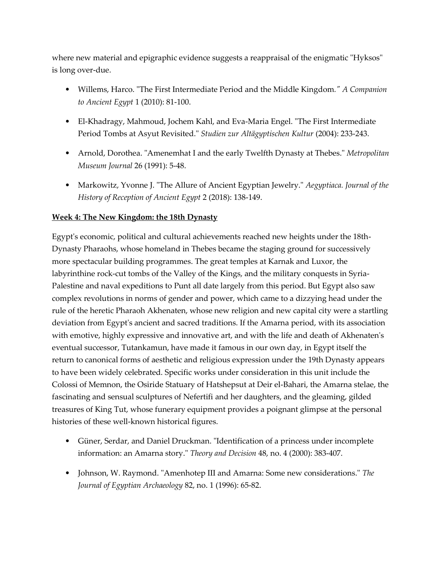where new material and epigraphic evidence suggests a reappraisal of the enigmatic "Hyksos" is long over-due.

- Willems, Harco. "The First Intermediate Period and the Middle Kingdom*." A Companion to Ancient Egypt* 1 (2010): 81-100.
- El-Khadragy, Mahmoud, Jochem Kahl, and Eva-Maria Engel. "The First Intermediate Period Tombs at Asyut Revisited." *Studien zur Altägyptischen Kultur* (2004): 233-243.
- Arnold, Dorothea. "Amenemhat I and the early Twelfth Dynasty at Thebes." *Metropolitan Museum Journal* 26 (1991): 5-48.
- Markowitz, Yvonne J. "The Allure of Ancient Egyptian Jewelry." *Aegyptiaca. Journal of the History of Reception of Ancient Egypt* 2 (2018): 138-149.

## **Week 4: The New Kingdom: the 18th Dynasty**

Egypt's economic, political and cultural achievements reached new heights under the 18th-Dynasty Pharaohs, whose homeland in Thebes became the staging ground for successively more spectacular building programmes. The great temples at Karnak and Luxor, the labyrinthine rock-cut tombs of the Valley of the Kings, and the military conquests in Syria-Palestine and naval expeditions to Punt all date largely from this period. But Egypt also saw complex revolutions in norms of gender and power, which came to a dizzying head under the rule of the heretic Pharaoh Akhenaten, whose new religion and new capital city were a startling deviation from Egypt's ancient and sacred traditions. If the Amarna period, with its association with emotive, highly expressive and innovative art, and with the life and death of Akhenaten's eventual successor, Tutankamun, have made it famous in our own day, in Egypt itself the return to canonical forms of aesthetic and religious expression under the 19th Dynasty appears to have been widely celebrated. Specific works under consideration in this unit include the Colossi of Memnon, the Osiride Statuary of Hatshepsut at Deir el-Bahari, the Amarna stelae, the fascinating and sensual sculptures of Nefertifi and her daughters, and the gleaming, gilded treasures of King Tut, whose funerary equipment provides a poignant glimpse at the personal histories of these well-known historical figures.

- Güner, Serdar, and Daniel Druckman. "Identification of a princess under incomplete information: an Amarna story." *Theory and Decision* 48, no. 4 (2000): 383-407.
- Johnson, W. Raymond. "Amenhotep III and Amarna: Some new considerations." *The Journal of Egyptian Archaeology* 82, no. 1 (1996): 65-82.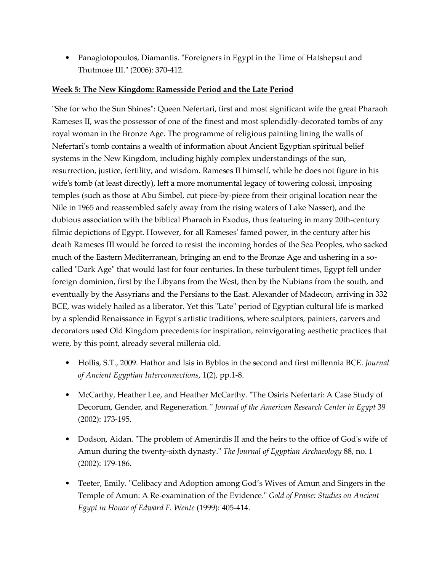• Panagiotopoulos, Diamantis. "Foreigners in Egypt in the Time of Hatshepsut and Thutmose III." (2006): 370-412.

#### **Week 5: The New Kingdom: Ramesside Period and the Late Period**

"She for who the Sun Shines": Queen Nefertari, first and most significant wife the great Pharaoh Rameses II, was the possessor of one of the finest and most splendidly-decorated tombs of any royal woman in the Bronze Age. The programme of religious painting lining the walls of Nefertari's tomb contains a wealth of information about Ancient Egyptian spiritual belief systems in the New Kingdom, including highly complex understandings of the sun, resurrection, justice, fertility, and wisdom. Rameses II himself, while he does not figure in his wife's tomb (at least directly), left a more monumental legacy of towering colossi, imposing temples (such as those at Abu Simbel, cut piece-by-piece from their original location near the Nile in 1965 and reassembled safely away from the rising waters of Lake Nasser), and the dubious association with the biblical Pharaoh in Exodus, thus featuring in many 20th-century filmic depictions of Egypt. However, for all Rameses' famed power, in the century after his death Rameses III would be forced to resist the incoming hordes of the Sea Peoples, who sacked much of the Eastern Mediterranean, bringing an end to the Bronze Age and ushering in a socalled "Dark Age" that would last for four centuries. In these turbulent times, Egypt fell under foreign dominion, first by the Libyans from the West, then by the Nubians from the south, and eventually by the Assyrians and the Persians to the East. Alexander of Madecon, arriving in 332 BCE, was widely hailed as a liberator. Yet this "Late" period of Egyptian cultural life is marked by a splendid Renaissance in Egypt's artistic traditions, where sculptors, painters, carvers and decorators used Old Kingdom precedents for inspiration, reinvigorating aesthetic practices that were, by this point, already several millenia old.

- Hollis, S.T., 2009. Hathor and Isis in Byblos in the second and first millennia BCE. *Journal of Ancient Egyptian Interconnections*, 1(2), pp.1-8.
- McCarthy, Heather Lee, and Heather McCarthy. "The Osiris Nefertari: A Case Study of Decorum, Gender, and Regeneration*." Journal of the American Research Center in Egypt* 39 (2002): 173-195.
- Dodson, Aidan. "The problem of Amenirdis II and the heirs to the office of God's wife of Amun during the twenty-sixth dynasty." *The Journal of Egyptian Archaeology* 88, no. 1 (2002): 179-186.
- Teeter, Emily. "Celibacy and Adoption among God's Wives of Amun and Singers in the Temple of Amun: A Re-examination of the Evidence." *Gold of Praise: Studies on Ancient Egypt in Honor of Edward F. Wente* (1999): 405-414.